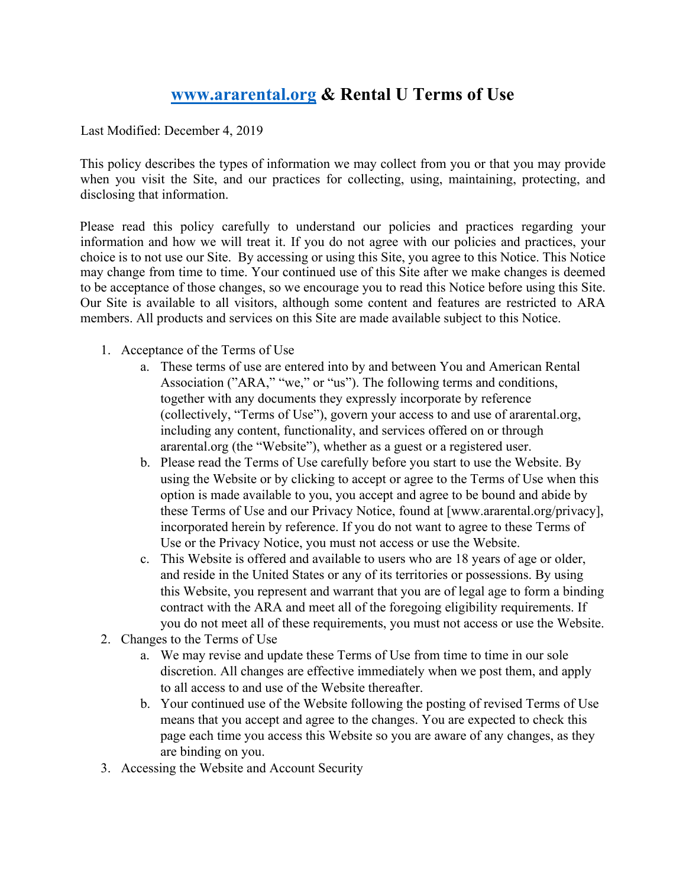# **[www.ararental.org](http://www.ararental.org/) [&](http://www.ararental.org/) Rental U Terms of Use**

Last Modified: December 4, 2019

This policy describes the types of information we may collect from you or that you may provide when you visit the Site, and our practices for collecting, using, maintaining, protecting, and disclosing that information.

Please read this policy carefully to understand our policies and practices regarding your information and how we will treat it. If you do not agree with our policies and practices, your choice is to not use our Site. By accessing or using this Site, you agree to this Notice. This Notice may change from time to time. Your continued use of this Site after we make changes is deemed to be acceptance of those changes, so we encourage you to read this Notice before using this Site. Our Site is available to all visitors, although some content and features are restricted to ARA members. All products and services on this Site are made available subject to this Notice.

- 1. Acceptance of the Terms of Use
	- a. These terms of use are entered into by and between You and American Rental Association ("ARA," "we," or "us"). The following terms and conditions, together with any documents they expressly incorporate by reference (collectively, "Terms of Use"), govern your access to and use of ararental.org, including any content, functionality, and services offered on or through ararental.org (the "Website"), whether as a guest or a registered user.
	- b. Please read the Terms of Use carefully before you start to use the Website. By using the Website or by clicking to accept or agree to the Terms of Use when this option is made available to you, you accept and agree to be bound and abide by these Terms of Use and our Privacy Notice, found at [www.ararental.org/privacy], incorporated herein by reference. If you do not want to agree to these Terms of Use or the Privacy Notice, you must not access or use the Website.
	- c. This Website is offered and available to users who are 18 years of age or older, and reside in the United States or any of its territories or possessions. By using this Website, you represent and warrant that you are of legal age to form a binding contract with the ARA and meet all of the foregoing eligibility requirements. If you do not meet all of these requirements, you must not access or use the Website.
- 2. Changes to the Terms of Use
	- a. We may revise and update these Terms of Use from time to time in our sole discretion. All changes are effective immediately when we post them, and apply to all access to and use of the Website thereafter.
	- b. Your continued use of the Website following the posting of revised Terms of Use means that you accept and agree to the changes. You are expected to check this page each time you access this Website so you are aware of any changes, as they are binding on you.
- 3. Accessing the Website and Account Security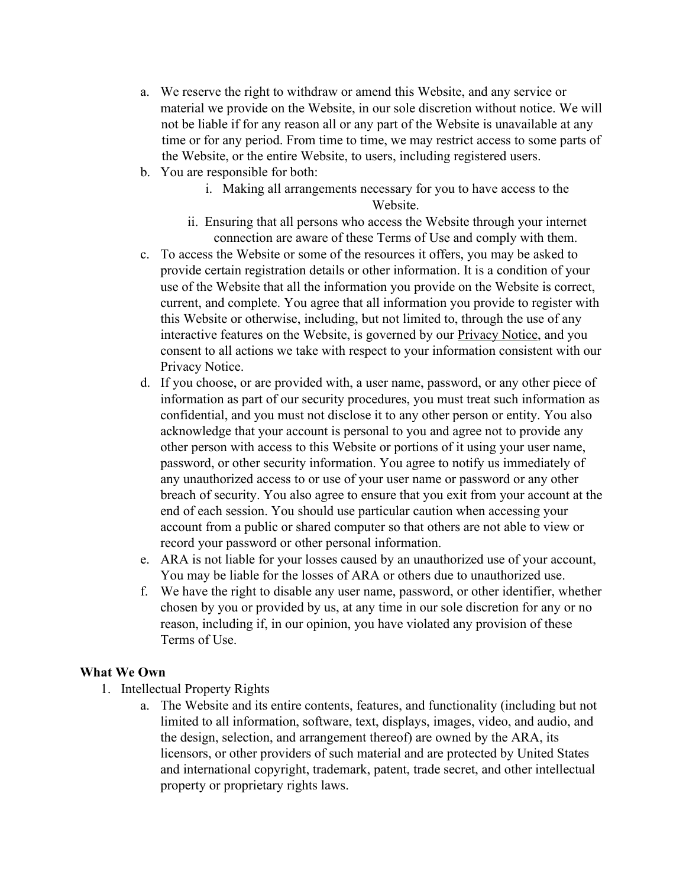- a. We reserve the right to withdraw or amend this Website, and any service or material we provide on the Website, in our sole discretion without notice. We will not be liable if for any reason all or any part of the Website is unavailable at any time or for any period. From time to time, we may restrict access to some parts of the Website, or the entire Website, to users, including registered users.
- b. You are responsible for both:
	- i. Making all arrangements necessary for you to have access to the Website.
	- ii. Ensuring that all persons who access the Website through your internet connection are aware of these Terms of Use and comply with them.
- c. To access the Website or some of the resources it offers, you may be asked to provide certain registration details or other information. It is a condition of your use of the Website that all the information you provide on the Website is correct, current, and complete. You agree that all information you provide to register with this Website or otherwise, including, but not limited to, through the use of any interactive features on the Website, is governed by ou[r Privacy Notice,](http://www.ararental.org/privacy) and you consent to all actions we take with respect to your information consistent with our Privacy Notice.
- d. If you choose, or are provided with, a user name, password, or any other piece of information as part of our security procedures, you must treat such information as confidential, and you must not disclose it to any other person or entity. You also acknowledge that your account is personal to you and agree not to provide any other person with access to this Website or portions of it using your user name, password, or other security information. You agree to notify us immediately of any unauthorized access to or use of your user name or password or any other breach of security. You also agree to ensure that you exit from your account at the end of each session. You should use particular caution when accessing your account from a public or shared computer so that others are not able to view or record your password or other personal information.
- e. ARA is not liable for your losses caused by an unauthorized use of your account, You may be liable for the losses of ARA or others due to unauthorized use.
- f. We have the right to disable any user name, password, or other identifier, whether chosen by you or provided by us, at any time in our sole discretion for any or no reason, including if, in our opinion, you have violated any provision of these Terms of Use.

#### **What We Own**

- 1. Intellectual Property Rights
	- a. The Website and its entire contents, features, and functionality (including but not limited to all information, software, text, displays, images, video, and audio, and the design, selection, and arrangement thereof) are owned by the ARA, its licensors, or other providers of such material and are protected by United States and international copyright, trademark, patent, trade secret, and other intellectual property or proprietary rights laws.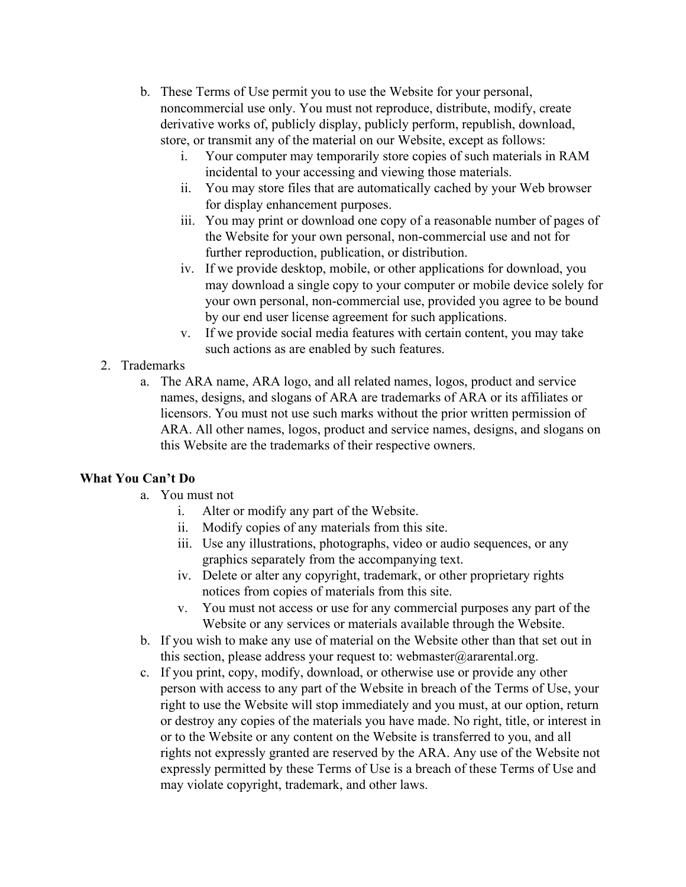- b. These Terms of Use permit you to use the Website for your personal, noncommercial use only. You must not reproduce, distribute, modify, create derivative works of, publicly display, publicly perform, republish, download, store, or transmit any of the material on our Website, except as follows:
	- i. Your computer may temporarily store copies of such materials in RAM incidental to your accessing and viewing those materials.
	- ii. You may store files that are automatically cached by your Web browser for display enhancement purposes.
	- iii. You may print or download one copy of a reasonable number of pages of the Website for your own personal, non-commercial use and not for further reproduction, publication, or distribution.
	- iv. If we provide desktop, mobile, or other applications for download, you may download a single copy to your computer or mobile device solely for your own personal, non-commercial use, provided you agree to be bound by our end user license agreement for such applications.
	- v. If we provide social media features with certain content, you may take such actions as are enabled by such features.

## 2. Trademarks

a. The ARA name, ARA logo, and all related names, logos, product and service names, designs, and slogans of ARA are trademarks of ARA or its affiliates or licensors. You must not use such marks without the prior written permission of ARA. All other names, logos, product and service names, designs, and slogans on this Website are the trademarks of their respective owners.

## **What You Can't Do**

- a. You must not
	- i. Alter or modify any part of the Website.
	- ii. Modify copies of any materials from this site.
	- iii. Use any illustrations, photographs, video or audio sequences, or any graphics separately from the accompanying text.
	- iv. Delete or alter any copyright, trademark, or other proprietary rights notices from copies of materials from this site.
	- v. You must not access or use for any commercial purposes any part of the Website or any services or materials available through the Website.
- b. If you wish to make any use of material on the Website other than that set out in this section, please address your request to: webmaster@ararental.org.
- c. If you print, copy, modify, download, or otherwise use or provide any other person with access to any part of the Website in breach of the Terms of Use, your right to use the Website will stop immediately and you must, at our option, return or destroy any copies of the materials you have made. No right, title, or interest in or to the Website or any content on the Website is transferred to you, and all rights not expressly granted are reserved by the ARA. Any use of the Website not expressly permitted by these Terms of Use is a breach of these Terms of Use and may violate copyright, trademark, and other laws.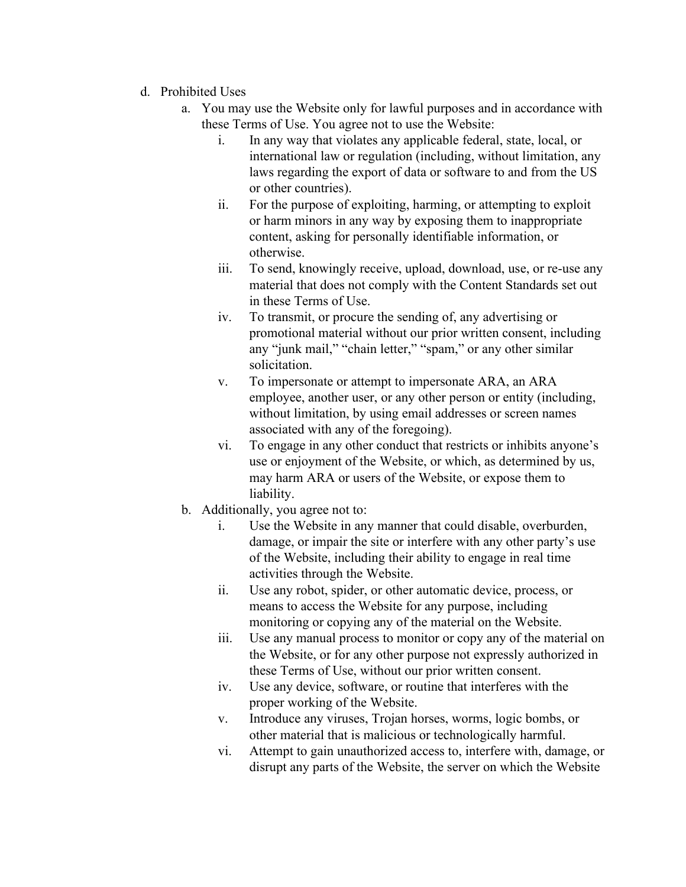- d. Prohibited Uses
	- a. You may use the Website only for lawful purposes and in accordance with these Terms of Use. You agree not to use the Website:
		- i. In any way that violates any applicable federal, state, local, or international law or regulation (including, without limitation, any laws regarding the export of data or software to and from the US or other countries).
		- ii. For the purpose of exploiting, harming, or attempting to exploit or harm minors in any way by exposing them to inappropriate content, asking for personally identifiable information, or otherwise.
		- iii. To send, knowingly receive, upload, download, use, or re-use any material that does not comply with the Content Standards set out in these Terms of Use.
		- iv. To transmit, or procure the sending of, any advertising or promotional material without our prior written consent, including any "junk mail," "chain letter," "spam," or any other similar solicitation.
		- v. To impersonate or attempt to impersonate ARA, an ARA employee, another user, or any other person or entity (including, without limitation, by using email addresses or screen names associated with any of the foregoing).
		- vi. To engage in any other conduct that restricts or inhibits anyone's use or enjoyment of the Website, or which, as determined by us, may harm ARA or users of the Website, or expose them to liability.
	- b. Additionally, you agree not to:
		- i. Use the Website in any manner that could disable, overburden, damage, or impair the site or interfere with any other party's use of the Website, including their ability to engage in real time activities through the Website.
		- ii. Use any robot, spider, or other automatic device, process, or means to access the Website for any purpose, including monitoring or copying any of the material on the Website.
		- iii. Use any manual process to monitor or copy any of the material on the Website, or for any other purpose not expressly authorized in these Terms of Use, without our prior written consent.
		- iv. Use any device, software, or routine that interferes with the proper working of the Website.
		- v. Introduce any viruses, Trojan horses, worms, logic bombs, or other material that is malicious or technologically harmful.
		- vi. Attempt to gain unauthorized access to, interfere with, damage, or disrupt any parts of the Website, the server on which the Website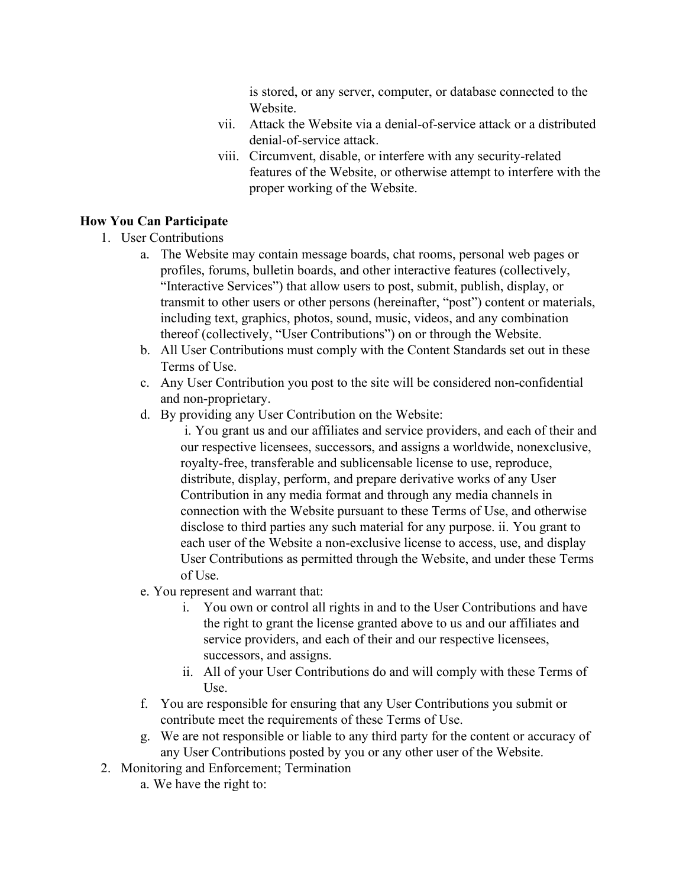is stored, or any server, computer, or database connected to the Website.

- vii. Attack the Website via a denial-of-service attack or a distributed denial-of-service attack.
- viii. Circumvent, disable, or interfere with any security-related features of the Website, or otherwise attempt to interfere with the proper working of the Website.

#### **How You Can Participate**

- 1. User Contributions
	- a. The Website may contain message boards, chat rooms, personal web pages or profiles, forums, bulletin boards, and other interactive features (collectively, "Interactive Services") that allow users to post, submit, publish, display, or transmit to other users or other persons (hereinafter, "post") content or materials, including text, graphics, photos, sound, music, videos, and any combination thereof (collectively, "User Contributions") on or through the Website.
	- b. All User Contributions must comply with the Content Standards set out in these Terms of Use.
	- c. Any User Contribution you post to the site will be considered non-confidential and non-proprietary.
	- d. By providing any User Contribution on the Website:

i. You grant us and our affiliates and service providers, and each of their and our respective licensees, successors, and assigns a worldwide, nonexclusive, royalty-free, transferable and sublicensable license to use, reproduce, distribute, display, perform, and prepare derivative works of any User Contribution in any media format and through any media channels in connection with the Website pursuant to these Terms of Use, and otherwise disclose to third parties any such material for any purpose. ii. You grant to each user of the Website a non-exclusive license to access, use, and display User Contributions as permitted through the Website, and under these Terms of Use.

- e. You represent and warrant that:
	- i. You own or control all rights in and to the User Contributions and have the right to grant the license granted above to us and our affiliates and service providers, and each of their and our respective licensees, successors, and assigns.
	- ii. All of your User Contributions do and will comply with these Terms of Use.
- f. You are responsible for ensuring that any User Contributions you submit or contribute meet the requirements of these Terms of Use.
- g. We are not responsible or liable to any third party for the content or accuracy of any User Contributions posted by you or any other user of the Website.
- 2. Monitoring and Enforcement; Termination
	- a. We have the right to: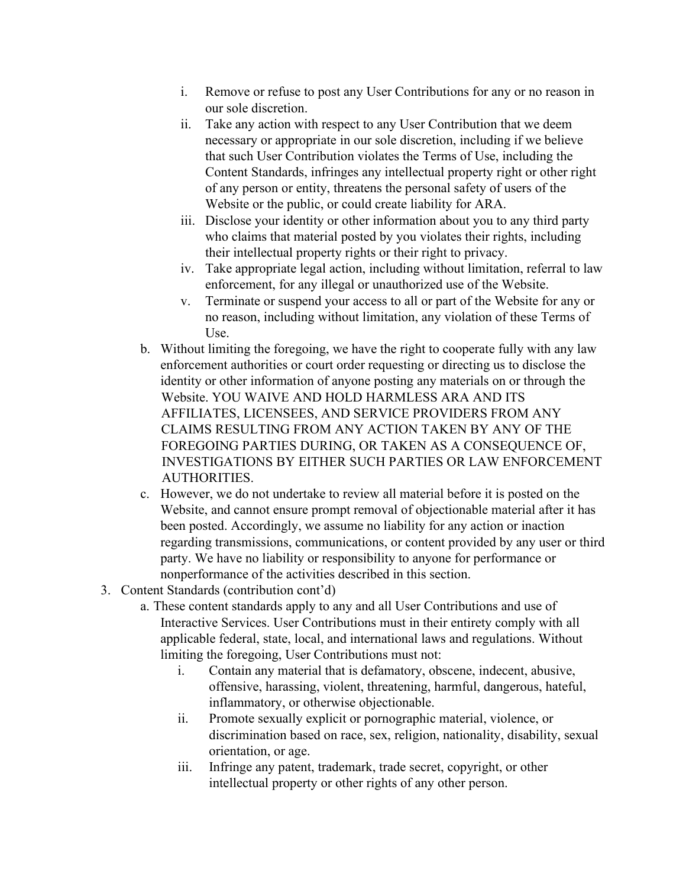- i. Remove or refuse to post any User Contributions for any or no reason in our sole discretion.
- ii. Take any action with respect to any User Contribution that we deem necessary or appropriate in our sole discretion, including if we believe that such User Contribution violates the Terms of Use, including the Content Standards, infringes any intellectual property right or other right of any person or entity, threatens the personal safety of users of the Website or the public, or could create liability for ARA.
- iii. Disclose your identity or other information about you to any third party who claims that material posted by you violates their rights, including their intellectual property rights or their right to privacy.
- iv. Take appropriate legal action, including without limitation, referral to law enforcement, for any illegal or unauthorized use of the Website.
- v. Terminate or suspend your access to all or part of the Website for any or no reason, including without limitation, any violation of these Terms of Use.
- b. Without limiting the foregoing, we have the right to cooperate fully with any law enforcement authorities or court order requesting or directing us to disclose the identity or other information of anyone posting any materials on or through the Website. YOU WAIVE AND HOLD HARMLESS ARA AND ITS AFFILIATES, LICENSEES, AND SERVICE PROVIDERS FROM ANY CLAIMS RESULTING FROM ANY ACTION TAKEN BY ANY OF THE FOREGOING PARTIES DURING, OR TAKEN AS A CONSEQUENCE OF, INVESTIGATIONS BY EITHER SUCH PARTIES OR LAW ENFORCEMENT AUTHORITIES.
- c. However, we do not undertake to review all material before it is posted on the Website, and cannot ensure prompt removal of objectionable material after it has been posted. Accordingly, we assume no liability for any action or inaction regarding transmissions, communications, or content provided by any user or third party. We have no liability or responsibility to anyone for performance or nonperformance of the activities described in this section.
- 3. Content Standards (contribution cont'd)
	- a. These content standards apply to any and all User Contributions and use of Interactive Services. User Contributions must in their entirety comply with all applicable federal, state, local, and international laws and regulations. Without limiting the foregoing, User Contributions must not:
		- i. Contain any material that is defamatory, obscene, indecent, abusive, offensive, harassing, violent, threatening, harmful, dangerous, hateful, inflammatory, or otherwise objectionable.
		- ii. Promote sexually explicit or pornographic material, violence, or discrimination based on race, sex, religion, nationality, disability, sexual orientation, or age.
		- iii. Infringe any patent, trademark, trade secret, copyright, or other intellectual property or other rights of any other person.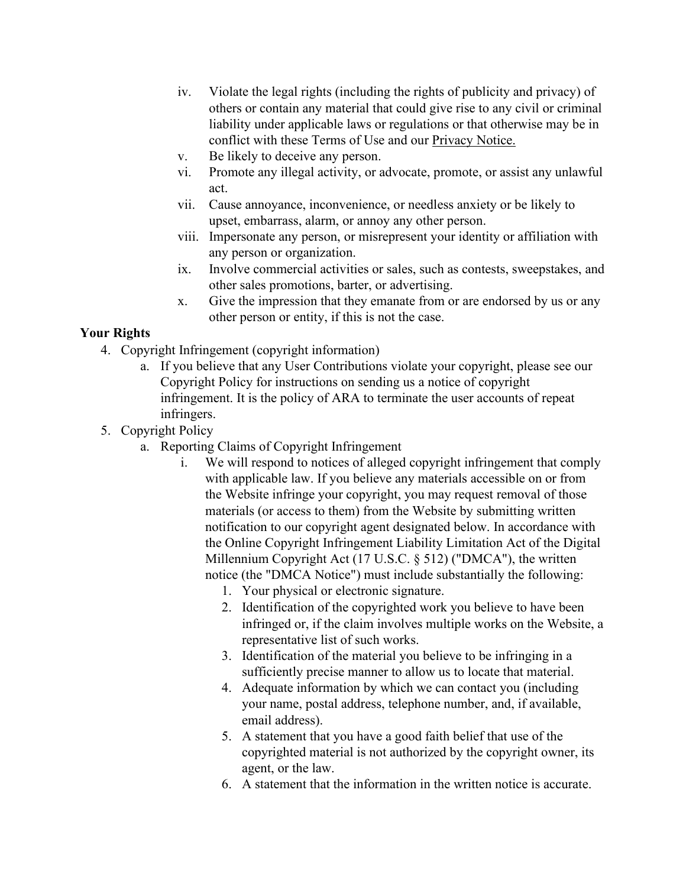- iv. Violate the legal rights (including the rights of publicity and privacy) of others or contain any material that could give rise to any civil or criminal liability under applicable laws or regulations or that otherwise may be in conflict with these Terms of Use and ou[r Privacy Notice.](http://www.ararental.org/privacy)
- v. Be likely to deceive any person.
- vi. Promote any illegal activity, or advocate, promote, or assist any unlawful act.
- vii. Cause annoyance, inconvenience, or needless anxiety or be likely to upset, embarrass, alarm, or annoy any other person.
- viii. Impersonate any person, or misrepresent your identity or affiliation with any person or organization.
- ix. Involve commercial activities or sales, such as contests, sweepstakes, and other sales promotions, barter, or advertising.
- x. Give the impression that they emanate from or are endorsed by us or any other person or entity, if this is not the case.

## **Your Rights**

- 4. Copyright Infringement (copyright information)
	- a. If you believe that any User Contributions violate your copyright, please see our Copyright Policy for instructions on sending us a notice of copyright infringement. It is the policy of ARA to terminate the user accounts of repeat infringers.
- 5. Copyright Policy
	- a. Reporting Claims of Copyright Infringement
		- i. We will respond to notices of alleged copyright infringement that comply with applicable law. If you believe any materials accessible on or from the Website infringe your copyright, you may request removal of those materials (or access to them) from the Website by submitting written notification to our copyright agent designated below. In accordance with the Online Copyright Infringement Liability Limitation Act of the Digital Millennium Copyright Act (17 U.S.C. § 512) ("DMCA"), the written notice (the "DMCA Notice") must include substantially the following:
			- 1. Your physical or electronic signature.
			- 2. Identification of the copyrighted work you believe to have been infringed or, if the claim involves multiple works on the Website, a representative list of such works.
			- 3. Identification of the material you believe to be infringing in a sufficiently precise manner to allow us to locate that material.
			- 4. Adequate information by which we can contact you (including your name, postal address, telephone number, and, if available, email address).
			- 5. A statement that you have a good faith belief that use of the copyrighted material is not authorized by the copyright owner, its agent, or the law.
			- 6. A statement that the information in the written notice is accurate.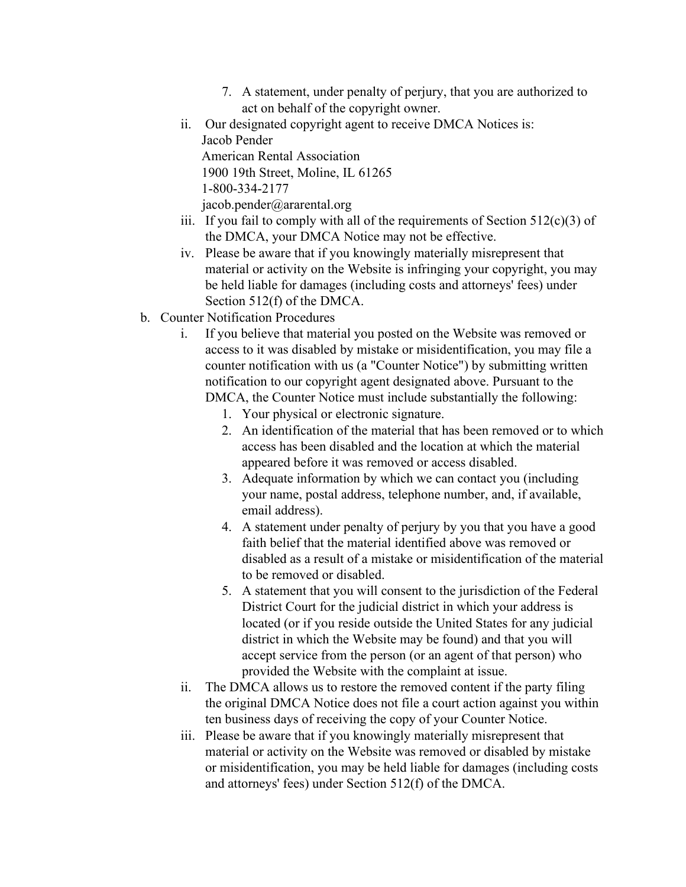- 7. A statement, under penalty of perjury, that you are authorized to act on behalf of the copyright owner.
- ii. Our designated copyright agent to receive DMCA Notices is: Jacob Pender American Rental Association 1900 19th Street, Moline, IL 61265 1-800-334-2177 jacob.pender@ararental.org
- iii. If you fail to comply with all of the requirements of Section  $512(c)(3)$  of the DMCA, your DMCA Notice may not be effective.
- iv. Please be aware that if you knowingly materially misrepresent that material or activity on the Website is infringing your copyright, you may be held liable for damages (including costs and attorneys' fees) under Section 512(f) of the DMCA.
- b. Counter Notification Procedures
	- i. If you believe that material you posted on the Website was removed or access to it was disabled by mistake or misidentification, you may file a counter notification with us (a "Counter Notice") by submitting written notification to our copyright agent designated above. Pursuant to the DMCA, the Counter Notice must include substantially the following:
		- 1. Your physical or electronic signature.
		- 2. An identification of the material that has been removed or to which access has been disabled and the location at which the material appeared before it was removed or access disabled.
		- 3. Adequate information by which we can contact you (including your name, postal address, telephone number, and, if available, email address).
		- 4. A statement under penalty of perjury by you that you have a good faith belief that the material identified above was removed or disabled as a result of a mistake or misidentification of the material to be removed or disabled.
		- 5. A statement that you will consent to the jurisdiction of the Federal District Court for the judicial district in which your address is located (or if you reside outside the United States for any judicial district in which the Website may be found) and that you will accept service from the person (or an agent of that person) who provided the Website with the complaint at issue.
	- ii. The DMCA allows us to restore the removed content if the party filing the original DMCA Notice does not file a court action against you within ten business days of receiving the copy of your Counter Notice.
	- iii. Please be aware that if you knowingly materially misrepresent that material or activity on the Website was removed or disabled by mistake or misidentification, you may be held liable for damages (including costs and attorneys' fees) under Section 512(f) of the DMCA.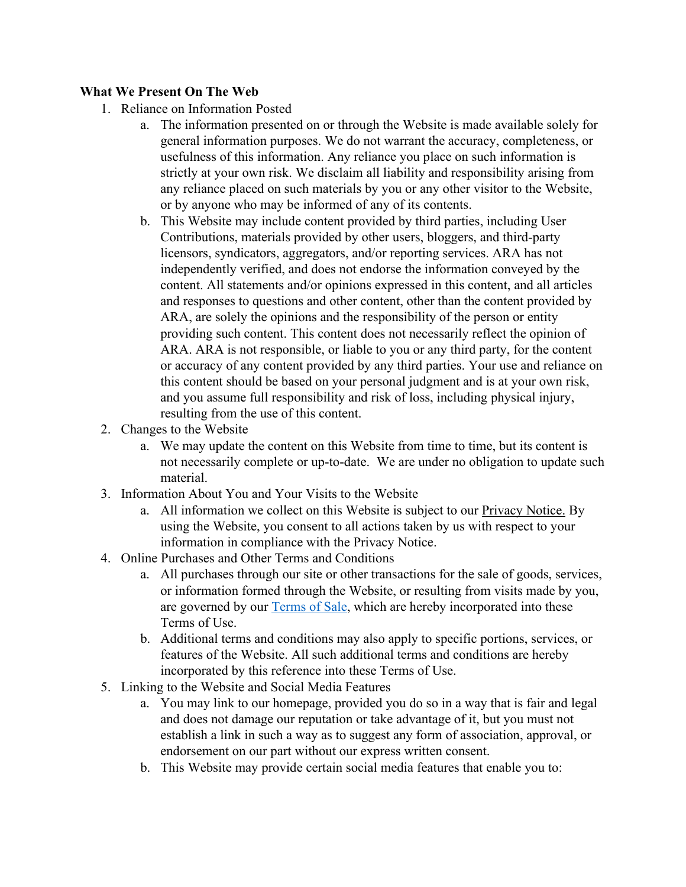### **What We Present On The Web**

- 1. Reliance on Information Posted
	- a. The information presented on or through the Website is made available solely for general information purposes. We do not warrant the accuracy, completeness, or usefulness of this information. Any reliance you place on such information is strictly at your own risk. We disclaim all liability and responsibility arising from any reliance placed on such materials by you or any other visitor to the Website, or by anyone who may be informed of any of its contents.
	- b. This Website may include content provided by third parties, including User Contributions, materials provided by other users, bloggers, and third-party licensors, syndicators, aggregators, and/or reporting services. ARA has not independently verified, and does not endorse the information conveyed by the content. All statements and/or opinions expressed in this content, and all articles and responses to questions and other content, other than the content provided by ARA, are solely the opinions and the responsibility of the person or entity providing such content. This content does not necessarily reflect the opinion of ARA. ARA is not responsible, or liable to you or any third party, for the content or accuracy of any content provided by any third parties. Your use and reliance on this content should be based on your personal judgment and is at your own risk, and you assume full responsibility and risk of loss, including physical injury, resulting from the use of this content.
- 2. Changes to the Website
	- a. We may update the content on this Website from time to time, but its content is not necessarily complete or up-to-date. We are under no obligation to update such material.
- 3. Information About You and Your Visits to the Website
	- a. All information we collect on this Website is subject to ou[r Privacy Notice.](http://www.ararental.org/privacy) By using the Website, you consent to all actions taken by us with respect to your information in compliance with the Privacy Notice.
- 4. Online Purchases and Other Terms and Conditions
	- a. All purchases through our site or other transactions for the sale of goods, services, or information formed through the Website, or resulting from visits made by you, are governed by our [Terms of Sale,](https://www.ararental.org/Portals/0/Documents/ARA%20Terms%20of%20Sale%20Policy.pdf) which are hereby incorporated into these Terms of Use.
	- b. Additional terms and conditions may also apply to specific portions, services, or features of the Website. All such additional terms and conditions are hereby incorporated by this reference into these Terms of Use.
- 5. Linking to the Website and Social Media Features
	- a. You may link to our homepage, provided you do so in a way that is fair and legal and does not damage our reputation or take advantage of it, but you must not establish a link in such a way as to suggest any form of association, approval, or endorsement on our part without our express written consent.
	- b. This Website may provide certain social media features that enable you to: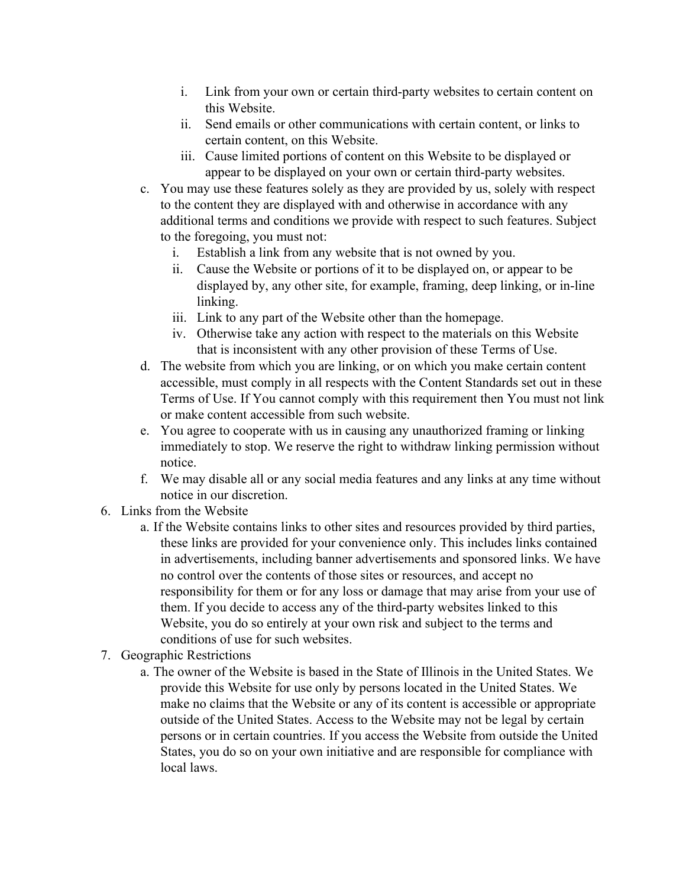- i. Link from your own or certain third-party websites to certain content on this Website.
- ii. Send emails or other communications with certain content, or links to certain content, on this Website.
- iii. Cause limited portions of content on this Website to be displayed or appear to be displayed on your own or certain third-party websites.
- c. You may use these features solely as they are provided by us, solely with respect to the content they are displayed with and otherwise in accordance with any additional terms and conditions we provide with respect to such features. Subject to the foregoing, you must not:
	- i. Establish a link from any website that is not owned by you.
	- ii. Cause the Website or portions of it to be displayed on, or appear to be displayed by, any other site, for example, framing, deep linking, or in-line linking.
	- iii. Link to any part of the Website other than the homepage.
	- iv. Otherwise take any action with respect to the materials on this Website that is inconsistent with any other provision of these Terms of Use.
- d. The website from which you are linking, or on which you make certain content accessible, must comply in all respects with the Content Standards set out in these Terms of Use. If You cannot comply with this requirement then You must not link or make content accessible from such website.
- e. You agree to cooperate with us in causing any unauthorized framing or linking immediately to stop. We reserve the right to withdraw linking permission without notice.
- f. We may disable all or any social media features and any links at any time without notice in our discretion.
- 6. Links from the Website
	- a. If the Website contains links to other sites and resources provided by third parties, these links are provided for your convenience only. This includes links contained in advertisements, including banner advertisements and sponsored links. We have no control over the contents of those sites or resources, and accept no responsibility for them or for any loss or damage that may arise from your use of them. If you decide to access any of the third-party websites linked to this Website, you do so entirely at your own risk and subject to the terms and conditions of use for such websites.
- 7. Geographic Restrictions
	- a. The owner of the Website is based in the State of Illinois in the United States. We provide this Website for use only by persons located in the United States. We make no claims that the Website or any of its content is accessible or appropriate outside of the United States. Access to the Website may not be legal by certain persons or in certain countries. If you access the Website from outside the United States, you do so on your own initiative and are responsible for compliance with local laws.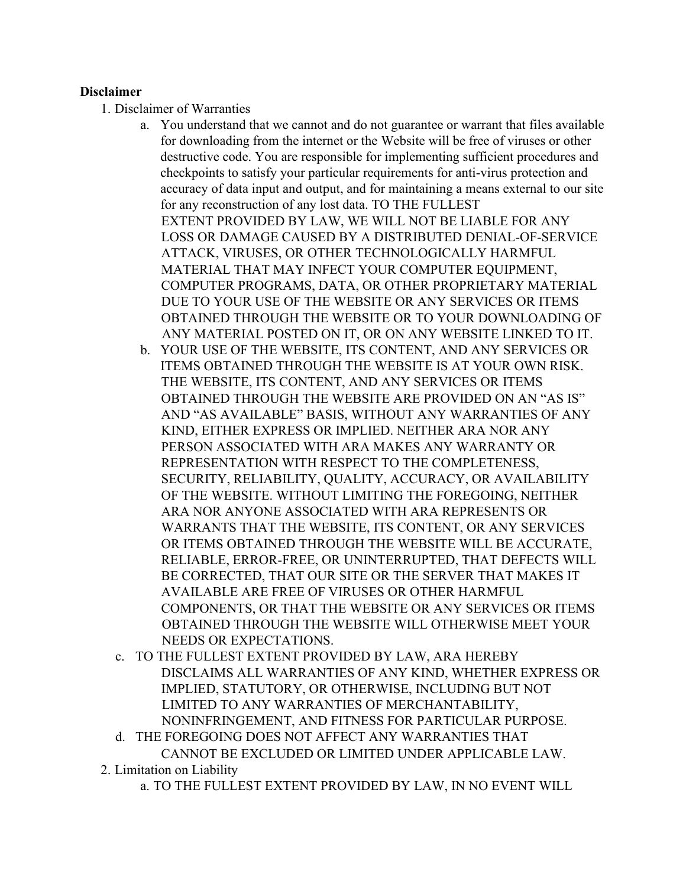#### **Disclaimer**

- 1. Disclaimer of Warranties
	- a. You understand that we cannot and do not guarantee or warrant that files available for downloading from the internet or the Website will be free of viruses or other destructive code. You are responsible for implementing sufficient procedures and checkpoints to satisfy your particular requirements for anti-virus protection and accuracy of data input and output, and for maintaining a means external to our site for any reconstruction of any lost data. TO THE FULLEST EXTENT PROVIDED BY LAW, WE WILL NOT BE LIABLE FOR ANY LOSS OR DAMAGE CAUSED BY A DISTRIBUTED DENIAL-OF-SERVICE ATTACK, VIRUSES, OR OTHER TECHNOLOGICALLY HARMFUL MATERIAL THAT MAY INFECT YOUR COMPUTER EQUIPMENT, COMPUTER PROGRAMS, DATA, OR OTHER PROPRIETARY MATERIAL DUE TO YOUR USE OF THE WEBSITE OR ANY SERVICES OR ITEMS OBTAINED THROUGH THE WEBSITE OR TO YOUR DOWNLOADING OF ANY MATERIAL POSTED ON IT, OR ON ANY WEBSITE LINKED TO IT.
	- b. YOUR USE OF THE WEBSITE, ITS CONTENT, AND ANY SERVICES OR ITEMS OBTAINED THROUGH THE WEBSITE IS AT YOUR OWN RISK. THE WEBSITE, ITS CONTENT, AND ANY SERVICES OR ITEMS OBTAINED THROUGH THE WEBSITE ARE PROVIDED ON AN "AS IS" AND "AS AVAILABLE" BASIS, WITHOUT ANY WARRANTIES OF ANY KIND, EITHER EXPRESS OR IMPLIED. NEITHER ARA NOR ANY PERSON ASSOCIATED WITH ARA MAKES ANY WARRANTY OR REPRESENTATION WITH RESPECT TO THE COMPLETENESS, SECURITY, RELIABILITY, QUALITY, ACCURACY, OR AVAILABILITY OF THE WEBSITE. WITHOUT LIMITING THE FOREGOING, NEITHER ARA NOR ANYONE ASSOCIATED WITH ARA REPRESENTS OR WARRANTS THAT THE WEBSITE, ITS CONTENT, OR ANY SERVICES OR ITEMS OBTAINED THROUGH THE WEBSITE WILL BE ACCURATE, RELIABLE, ERROR-FREE, OR UNINTERRUPTED, THAT DEFECTS WILL BE CORRECTED, THAT OUR SITE OR THE SERVER THAT MAKES IT AVAILABLE ARE FREE OF VIRUSES OR OTHER HARMFUL COMPONENTS, OR THAT THE WEBSITE OR ANY SERVICES OR ITEMS OBTAINED THROUGH THE WEBSITE WILL OTHERWISE MEET YOUR NEEDS OR EXPECTATIONS.
	- c. TO THE FULLEST EXTENT PROVIDED BY LAW, ARA HEREBY DISCLAIMS ALL WARRANTIES OF ANY KIND, WHETHER EXPRESS OR IMPLIED, STATUTORY, OR OTHERWISE, INCLUDING BUT NOT LIMITED TO ANY WARRANTIES OF MERCHANTABILITY, NONINFRINGEMENT, AND FITNESS FOR PARTICULAR PURPOSE.
	- d. THE FOREGOING DOES NOT AFFECT ANY WARRANTIES THAT CANNOT BE EXCLUDED OR LIMITED UNDER APPLICABLE LAW.
- 2. Limitation on Liability
	- a. TO THE FULLEST EXTENT PROVIDED BY LAW, IN NO EVENT WILL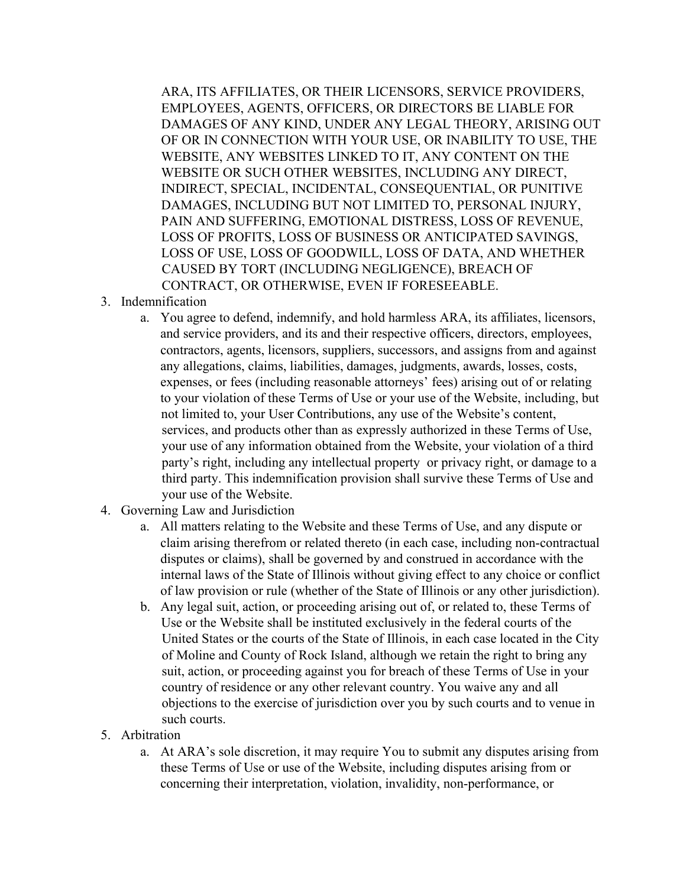ARA, ITS AFFILIATES, OR THEIR LICENSORS, SERVICE PROVIDERS, EMPLOYEES, AGENTS, OFFICERS, OR DIRECTORS BE LIABLE FOR DAMAGES OF ANY KIND, UNDER ANY LEGAL THEORY, ARISING OUT OF OR IN CONNECTION WITH YOUR USE, OR INABILITY TO USE, THE WEBSITE, ANY WEBSITES LINKED TO IT, ANY CONTENT ON THE WEBSITE OR SUCH OTHER WEBSITES, INCLUDING ANY DIRECT, INDIRECT, SPECIAL, INCIDENTAL, CONSEQUENTIAL, OR PUNITIVE DAMAGES, INCLUDING BUT NOT LIMITED TO, PERSONAL INJURY, PAIN AND SUFFERING, EMOTIONAL DISTRESS, LOSS OF REVENUE, LOSS OF PROFITS, LOSS OF BUSINESS OR ANTICIPATED SAVINGS, LOSS OF USE, LOSS OF GOODWILL, LOSS OF DATA, AND WHETHER CAUSED BY TORT (INCLUDING NEGLIGENCE), BREACH OF CONTRACT, OR OTHERWISE, EVEN IF FORESEEABLE.

- 3. Indemnification
	- a. You agree to defend, indemnify, and hold harmless ARA, its affiliates, licensors, and service providers, and its and their respective officers, directors, employees, contractors, agents, licensors, suppliers, successors, and assigns from and against any allegations, claims, liabilities, damages, judgments, awards, losses, costs, expenses, or fees (including reasonable attorneys' fees) arising out of or relating to your violation of these Terms of Use or your use of the Website, including, but not limited to, your User Contributions, any use of the Website's content, services, and products other than as expressly authorized in these Terms of Use, your use of any information obtained from the Website, your violation of a third party's right, including any intellectual property or privacy right, or damage to a third party. This indemnification provision shall survive these Terms of Use and your use of the Website.
- 4. Governing Law and Jurisdiction
	- a. All matters relating to the Website and these Terms of Use, and any dispute or claim arising therefrom or related thereto (in each case, including non-contractual disputes or claims), shall be governed by and construed in accordance with the internal laws of the State of Illinois without giving effect to any choice or conflict of law provision or rule (whether of the State of Illinois or any other jurisdiction).
	- b. Any legal suit, action, or proceeding arising out of, or related to, these Terms of Use or the Website shall be instituted exclusively in the federal courts of the United States or the courts of the State of Illinois, in each case located in the City of Moline and County of Rock Island, although we retain the right to bring any suit, action, or proceeding against you for breach of these Terms of Use in your country of residence or any other relevant country. You waive any and all objections to the exercise of jurisdiction over you by such courts and to venue in such courts.
- 5. Arbitration
	- a. At ARA's sole discretion, it may require You to submit any disputes arising from these Terms of Use or use of the Website, including disputes arising from or concerning their interpretation, violation, invalidity, non-performance, or